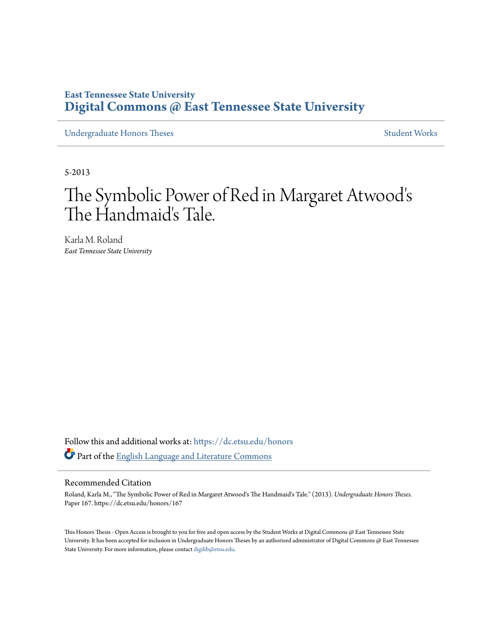## **East Tennessee State University [Digital Commons @ East Tennessee State University](https://dc.etsu.edu?utm_source=dc.etsu.edu%2Fhonors%2F167&utm_medium=PDF&utm_campaign=PDFCoverPages)**

[Undergraduate Honors Theses](https://dc.etsu.edu/honors?utm_source=dc.etsu.edu%2Fhonors%2F167&utm_medium=PDF&utm_campaign=PDFCoverPages) and the United [Student Works](https://dc.etsu.edu/student-works?utm_source=dc.etsu.edu%2Fhonors%2F167&utm_medium=PDF&utm_campaign=PDFCoverPages) Student Works

5-2013

# The Symbolic Power of Red in Margaret Atwood's The Handmaid's Tale.

Karla M. Roland *East Tennessee State University*

Follow this and additional works at: [https://dc.etsu.edu/honors](https://dc.etsu.edu/honors?utm_source=dc.etsu.edu%2Fhonors%2F167&utm_medium=PDF&utm_campaign=PDFCoverPages) Part of the [English Language and Literature Commons](http://network.bepress.com/hgg/discipline/455?utm_source=dc.etsu.edu%2Fhonors%2F167&utm_medium=PDF&utm_campaign=PDFCoverPages)

#### Recommended Citation

Roland, Karla M., "The Symbolic Power of Red in Margaret Atwood's The Handmaid's Tale." (2013). *Undergraduate Honors Theses.* Paper 167. https://dc.etsu.edu/honors/167

This Honors Thesis - Open Access is brought to you for free and open access by the Student Works at Digital Commons @ East Tennessee State University. It has been accepted for inclusion in Undergraduate Honors Theses by an authorized administrator of Digital Commons @ East Tennessee State University. For more information, please contact [digilib@etsu.edu.](mailto:digilib@etsu.edu)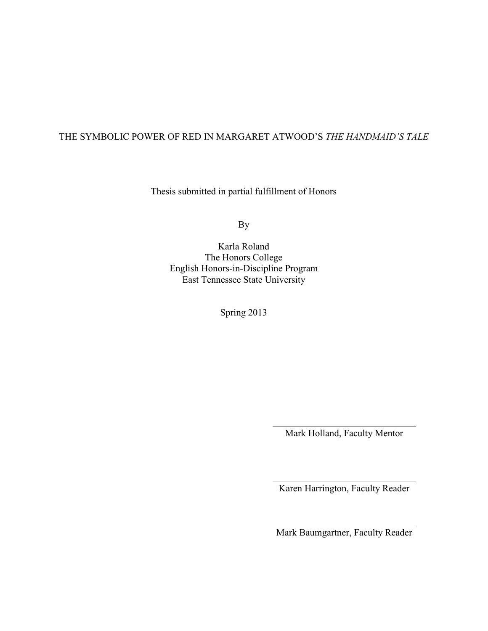### THE SYMBOLIC POWER OF RED IN MARGARET ATWOOD'S *THE HANDMAID'S TALE*

Thesis submitted in partial fulfillment of Honors

By

Karla Roland The Honors College English Honors-in-Discipline Program East Tennessee State University

Spring 2013

Mark Holland, Faculty Mentor

Karen Harrington, Faculty Reader

Mark Baumgartner, Faculty Reader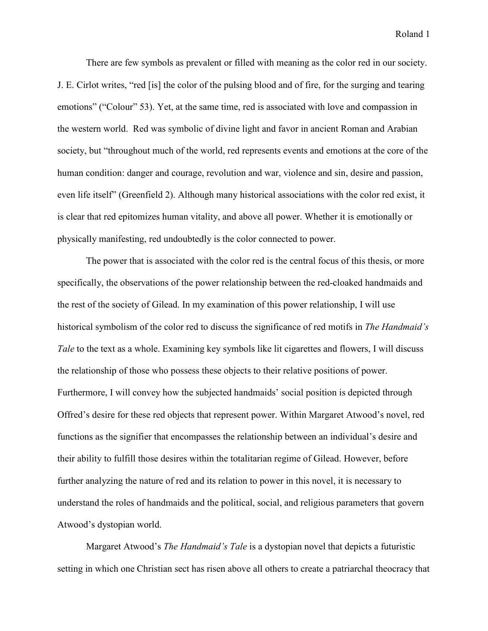There are few symbols as prevalent or filled with meaning as the color red in our society. J. E. Cirlot writes, "red [is] the color of the pulsing blood and of fire, for the surging and tearing emotions" ("Colour" 53). Yet, at the same time, red is associated with love and compassion in the western world. Red was symbolic of divine light and favor in ancient Roman and Arabian society, but "throughout much of the world, red represents events and emotions at the core of the human condition: danger and courage, revolution and war, violence and sin, desire and passion, even life itself" (Greenfield 2). Although many historical associations with the color red exist, it is clear that red epitomizes human vitality, and above all power. Whether it is emotionally or physically manifesting, red undoubtedly is the color connected to power.

The power that is associated with the color red is the central focus of this thesis, or more specifically, the observations of the power relationship between the red-cloaked handmaids and the rest of the society of Gilead. In my examination of this power relationship, I will use historical symbolism of the color red to discuss the significance of red motifs in *The Handmaid's Tale* to the text as a whole. Examining key symbols like lit cigarettes and flowers, I will discuss the relationship of those who possess these objects to their relative positions of power. Furthermore, I will convey how the subjected handmaids' social position is depicted through Offred's desire for these red objects that represent power. Within Margaret Atwood's novel, red functions as the signifier that encompasses the relationship between an individual's desire and their ability to fulfill those desires within the totalitarian regime of Gilead. However, before further analyzing the nature of red and its relation to power in this novel, it is necessary to understand the roles of handmaids and the political, social, and religious parameters that govern Atwood's dystopian world.

Margaret Atwood's *The Handmaid's Tale* is a dystopian novel that depicts a futuristic setting in which one Christian sect has risen above all others to create a patriarchal theocracy that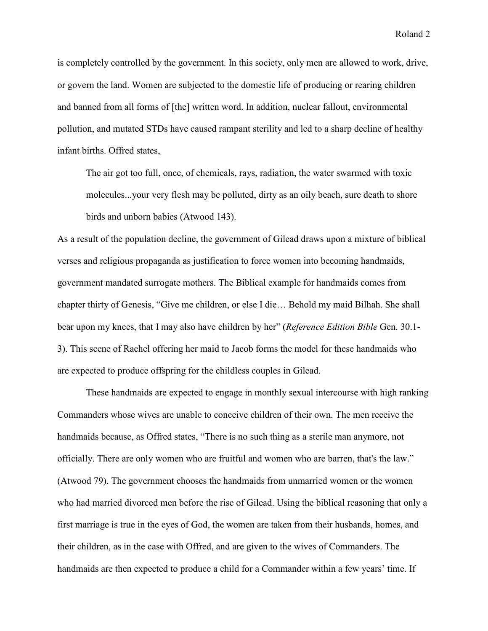is completely controlled by the government. In this society, only men are allowed to work, drive, or govern the land. Women are subjected to the domestic life of producing or rearing children and banned from all forms of [the] written word. In addition, nuclear fallout, environmental pollution, and mutated STDs have caused rampant sterility and led to a sharp decline of healthy infant births. Offred states,

The air got too full, once, of chemicals, rays, radiation, the water swarmed with toxic molecules...your very flesh may be polluted, dirty as an oily beach, sure death to shore birds and unborn babies (Atwood 143).

As a result of the population decline, the government of Gilead draws upon a mixture of biblical verses and religious propaganda as justification to force women into becoming handmaids, government mandated surrogate mothers. The Biblical example for handmaids comes from chapter thirty of Genesis, "Give me children, or else I die… Behold my maid Bilhah. She shall bear upon my knees, that I may also have children by her" (*Reference Edition Bible* Gen. 30.1- 3). This scene of Rachel offering her maid to Jacob forms the model for these handmaids who are expected to produce offspring for the childless couples in Gilead.

These handmaids are expected to engage in monthly sexual intercourse with high ranking Commanders whose wives are unable to conceive children of their own. The men receive the handmaids because, as Offred states, "There is no such thing as a sterile man anymore, not officially. There are only women who are fruitful and women who are barren, that's the law." (Atwood 79). The government chooses the handmaids from unmarried women or the women who had married divorced men before the rise of Gilead. Using the biblical reasoning that only a first marriage is true in the eyes of God, the women are taken from their husbands, homes, and their children, as in the case with Offred, and are given to the wives of Commanders. The handmaids are then expected to produce a child for a Commander within a few years' time. If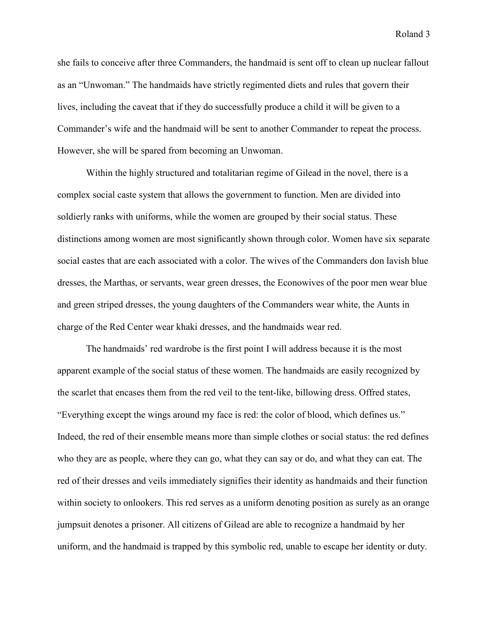she fails to conceive after three Commanders, the handmaid is sent off to clean up nuclear fallout as an "Unwoman." The handmaids have strictly regimented diets and rules that govern their lives, including the caveat that if they do successfully produce a child it will be given to a Commander's wife and the handmaid will be sent to another Commander to repeat the process. However, she will be spared from becoming an Unwoman.

Within the highly structured and totalitarian regime of Gilead in the novel, there is a complex social caste system that allows the government to function. Men are divided into soldierly ranks with uniforms, while the women are grouped by their social status. These distinctions among women are most significantly shown through color. Women have six separate social castes that are each associated with a color. The wives of the Commanders don lavish blue dresses, the Marthas, or servants, wear green dresses, the Econowives of the poor men wear blue and green striped dresses, the young daughters of the Commanders wear white, the Aunts in charge of the Red Center wear khaki dresses, and the handmaids wear red.

The handmaids' red wardrobe is the first point I will address because it is the most apparent example of the social status of these women. The handmaids are easily recognized by the scarlet that encases them from the red veil to the tent-like, billowing dress. Offred states, "Everything except the wings around my face is red: the color of blood, which defines us." Indeed, the red of their ensemble means more than simple clothes or social status: the red defines who they are as people, where they can go, what they can say or do, and what they can eat. The red of their dresses and veils immediately signifies their identity as handmaids and their function within society to onlookers. This red serves as a uniform denoting position as surely as an orange jumpsuit denotes a prisoner. All citizens of Gilead are able to recognize a handmaid by her uniform, and the handmaid is trapped by this symbolic red, unable to escape her identity or duty.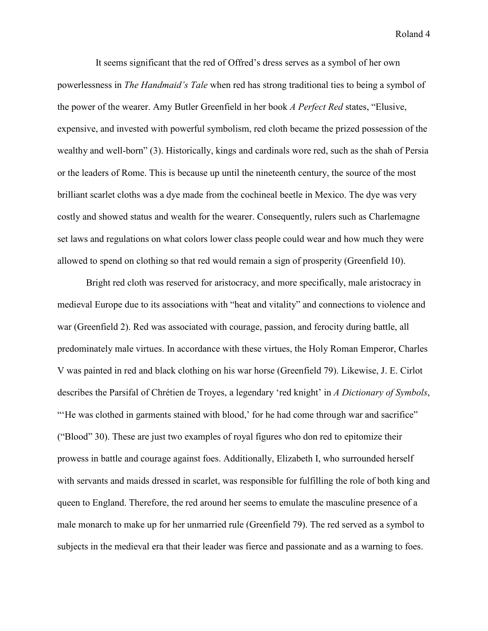It seems significant that the red of Offred's dress serves as a symbol of her own powerlessness in *The Handmaid's Tale* when red has strong traditional ties to being a symbol of the power of the wearer. Amy Butler Greenfield in her book *A Perfect Red* states, "Elusive, expensive, and invested with powerful symbolism, red cloth became the prized possession of the wealthy and well-born" (3). Historically, kings and cardinals wore red, such as the shah of Persia or the leaders of Rome. This is because up until the nineteenth century, the source of the most brilliant scarlet cloths was a dye made from the cochineal beetle in Mexico. The dye was very costly and showed status and wealth for the wearer. Consequently, rulers such as Charlemagne set laws and regulations on what colors lower class people could wear and how much they were allowed to spend on clothing so that red would remain a sign of prosperity (Greenfield 10).

Bright red cloth was reserved for aristocracy, and more specifically, male aristocracy in medieval Europe due to its associations with "heat and vitality" and connections to violence and war (Greenfield 2). Red was associated with courage, passion, and ferocity during battle, all predominately male virtues. In accordance with these virtues, the Holy Roman Emperor, Charles V was painted in red and black clothing on his war horse (Greenfield 79). Likewise, J. E. Cirlot describes the Parsifal of Chrétien de Troyes, a legendary 'red knight' in *A Dictionary of Symbols*, "'He was clothed in garments stained with blood,' for he had come through war and sacrifice" ("Blood" 30). These are just two examples of royal figures who don red to epitomize their prowess in battle and courage against foes. Additionally, Elizabeth I, who surrounded herself with servants and maids dressed in scarlet, was responsible for fulfilling the role of both king and queen to England. Therefore, the red around her seems to emulate the masculine presence of a male monarch to make up for her unmarried rule (Greenfield 79). The red served as a symbol to subjects in the medieval era that their leader was fierce and passionate and as a warning to foes.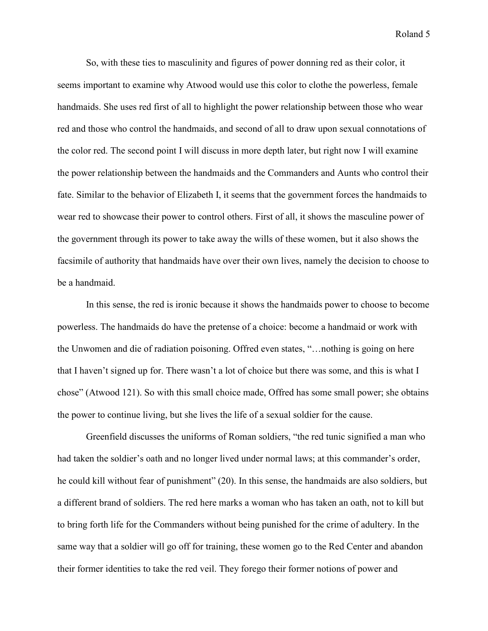So, with these ties to masculinity and figures of power donning red as their color, it seems important to examine why Atwood would use this color to clothe the powerless, female handmaids. She uses red first of all to highlight the power relationship between those who wear red and those who control the handmaids, and second of all to draw upon sexual connotations of the color red. The second point I will discuss in more depth later, but right now I will examine the power relationship between the handmaids and the Commanders and Aunts who control their fate. Similar to the behavior of Elizabeth I, it seems that the government forces the handmaids to wear red to showcase their power to control others. First of all, it shows the masculine power of the government through its power to take away the wills of these women, but it also shows the facsimile of authority that handmaids have over their own lives, namely the decision to choose to be a handmaid.

In this sense, the red is ironic because it shows the handmaids power to choose to become powerless. The handmaids do have the pretense of a choice: become a handmaid or work with the Unwomen and die of radiation poisoning. Offred even states, "…nothing is going on here that I haven't signed up for. There wasn't a lot of choice but there was some, and this is what I chose" (Atwood 121). So with this small choice made, Offred has some small power; she obtains the power to continue living, but she lives the life of a sexual soldier for the cause.

Greenfield discusses the uniforms of Roman soldiers, "the red tunic signified a man who had taken the soldier's oath and no longer lived under normal laws; at this commander's order, he could kill without fear of punishment" (20). In this sense, the handmaids are also soldiers, but a different brand of soldiers. The red here marks a woman who has taken an oath, not to kill but to bring forth life for the Commanders without being punished for the crime of adultery. In the same way that a soldier will go off for training, these women go to the Red Center and abandon their former identities to take the red veil. They forego their former notions of power and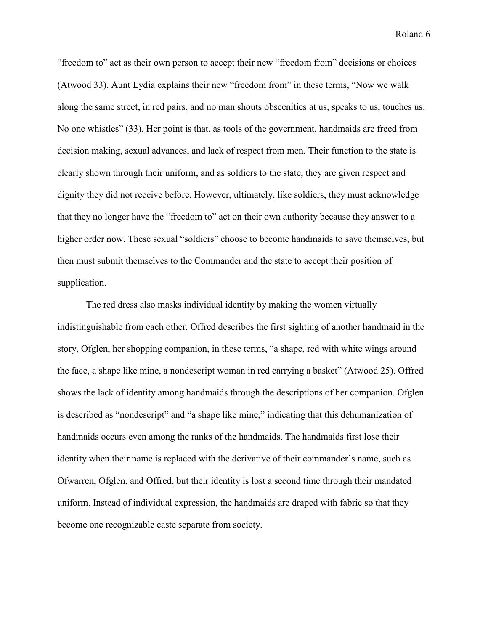"freedom to" act as their own person to accept their new "freedom from" decisions or choices (Atwood 33). Aunt Lydia explains their new "freedom from" in these terms, "Now we walk along the same street, in red pairs, and no man shouts obscenities at us, speaks to us, touches us. No one whistles" (33). Her point is that, as tools of the government, handmaids are freed from decision making, sexual advances, and lack of respect from men. Their function to the state is clearly shown through their uniform, and as soldiers to the state, they are given respect and dignity they did not receive before. However, ultimately, like soldiers, they must acknowledge that they no longer have the "freedom to" act on their own authority because they answer to a higher order now. These sexual "soldiers" choose to become handmaids to save themselves, but then must submit themselves to the Commander and the state to accept their position of supplication.

The red dress also masks individual identity by making the women virtually indistinguishable from each other. Offred describes the first sighting of another handmaid in the story, Ofglen, her shopping companion, in these terms, "a shape, red with white wings around the face, a shape like mine, a nondescript woman in red carrying a basket" (Atwood 25). Offred shows the lack of identity among handmaids through the descriptions of her companion. Ofglen is described as "nondescript" and "a shape like mine," indicating that this dehumanization of handmaids occurs even among the ranks of the handmaids. The handmaids first lose their identity when their name is replaced with the derivative of their commander's name, such as Ofwarren, Ofglen, and Offred, but their identity is lost a second time through their mandated uniform. Instead of individual expression, the handmaids are draped with fabric so that they become one recognizable caste separate from society.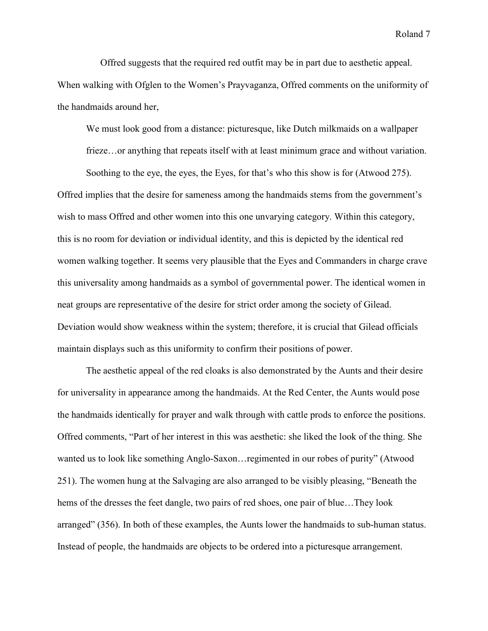Offred suggests that the required red outfit may be in part due to aesthetic appeal. When walking with Ofglen to the Women's Prayvaganza, Offred comments on the uniformity of the handmaids around her,

We must look good from a distance: picturesque, like Dutch milkmaids on a wallpaper

frieze... or anything that repeats itself with at least minimum grace and without variation.

Soothing to the eye, the eyes, the Eyes, for that's who this show is for (Atwood 275). Offred implies that the desire for sameness among the handmaids stems from the government's wish to mass Offred and other women into this one unvarying category. Within this category, this is no room for deviation or individual identity, and this is depicted by the identical red women walking together. It seems very plausible that the Eyes and Commanders in charge crave this universality among handmaids as a symbol of governmental power. The identical women in neat groups are representative of the desire for strict order among the society of Gilead. Deviation would show weakness within the system; therefore, it is crucial that Gilead officials maintain displays such as this uniformity to confirm their positions of power.

The aesthetic appeal of the red cloaks is also demonstrated by the Aunts and their desire for universality in appearance among the handmaids. At the Red Center, the Aunts would pose the handmaids identically for prayer and walk through with cattle prods to enforce the positions. Offred comments, "Part of her interest in this was aesthetic: she liked the look of the thing. She wanted us to look like something Anglo-Saxon…regimented in our robes of purity" (Atwood 251). The women hung at the Salvaging are also arranged to be visibly pleasing, "Beneath the hems of the dresses the feet dangle, two pairs of red shoes, one pair of blue…They look arranged" (356). In both of these examples, the Aunts lower the handmaids to sub-human status. Instead of people, the handmaids are objects to be ordered into a picturesque arrangement.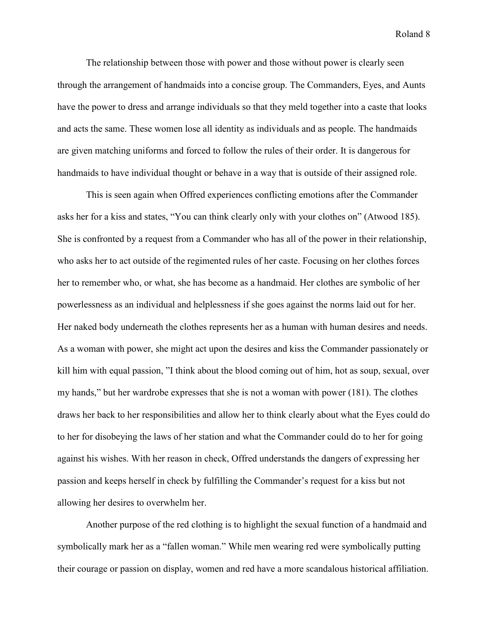The relationship between those with power and those without power is clearly seen through the arrangement of handmaids into a concise group. The Commanders, Eyes, and Aunts have the power to dress and arrange individuals so that they meld together into a caste that looks and acts the same. These women lose all identity as individuals and as people. The handmaids are given matching uniforms and forced to follow the rules of their order. It is dangerous for handmaids to have individual thought or behave in a way that is outside of their assigned role.

This is seen again when Offred experiences conflicting emotions after the Commander asks her for a kiss and states, "You can think clearly only with your clothes on" (Atwood 185). She is confronted by a request from a Commander who has all of the power in their relationship, who asks her to act outside of the regimented rules of her caste. Focusing on her clothes forces her to remember who, or what, she has become as a handmaid. Her clothes are symbolic of her powerlessness as an individual and helplessness if she goes against the norms laid out for her. Her naked body underneath the clothes represents her as a human with human desires and needs. As a woman with power, she might act upon the desires and kiss the Commander passionately or kill him with equal passion, "I think about the blood coming out of him, hot as soup, sexual, over my hands," but her wardrobe expresses that she is not a woman with power (181). The clothes draws her back to her responsibilities and allow her to think clearly about what the Eyes could do to her for disobeying the laws of her station and what the Commander could do to her for going against his wishes. With her reason in check, Offred understands the dangers of expressing her passion and keeps herself in check by fulfilling the Commander's request for a kiss but not allowing her desires to overwhelm her.

Another purpose of the red clothing is to highlight the sexual function of a handmaid and symbolically mark her as a "fallen woman." While men wearing red were symbolically putting their courage or passion on display, women and red have a more scandalous historical affiliation.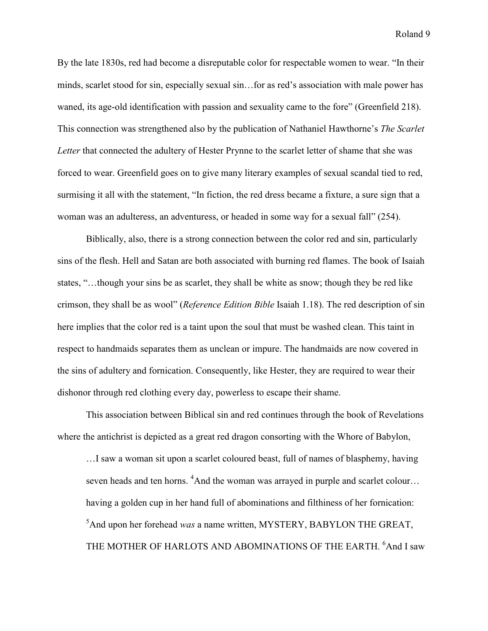By the late 1830s, red had become a disreputable color for respectable women to wear. "In their minds, scarlet stood for sin, especially sexual sin…for as red's association with male power has waned, its age-old identification with passion and sexuality came to the fore" (Greenfield 218). This connection was strengthened also by the publication of Nathaniel Hawthorne's *The Scarlet Letter* that connected the adultery of Hester Prynne to the scarlet letter of shame that she was forced to wear. Greenfield goes on to give many literary examples of sexual scandal tied to red, surmising it all with the statement, "In fiction, the red dress became a fixture, a sure sign that a woman was an adulteress, an adventuress, or headed in some way for a sexual fall" (254).

Biblically, also, there is a strong connection between the color red and sin, particularly sins of the flesh. Hell and Satan are both associated with burning red flames. The book of Isaiah states, "…though your sins be as scarlet, they shall be white as snow; though they be red like crimson, they shall be as wool" (*Reference Edition Bible* Isaiah 1.18). The red description of sin here implies that the color red is a taint upon the soul that must be washed clean. This taint in respect to handmaids separates them as unclean or impure. The handmaids are now covered in the sins of adultery and fornication. Consequently, like Hester, they are required to wear their dishonor through red clothing every day, powerless to escape their shame.

This association between Biblical sin and red continues through the book of Revelations where the antichrist is depicted as a great red dragon consorting with the Whore of Babylon,

…I saw a woman sit upon a scarlet coloured beast, full of names of blasphemy, having seven heads and ten horns. <sup>4</sup>And the woman was arrayed in purple and scarlet colour… having a golden cup in her hand full of abominations and filthiness of her fornication: <sup>5</sup>And upon her forehead *was* a name written, MYSTERY, BABYLON THE GREAT, THE MOTHER OF HARLOTS AND ABOMINATIONS OF THE EARTH. <sup>6</sup>And I saw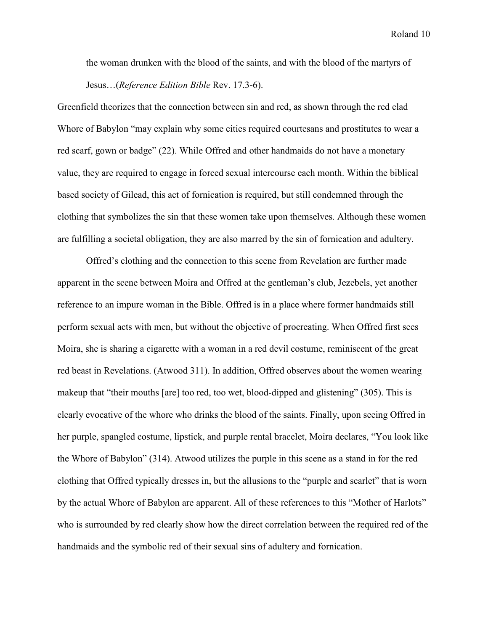the woman drunken with the blood of the saints, and with the blood of the martyrs of Jesus…(*Reference Edition Bible* Rev. 17.3-6).

Greenfield theorizes that the connection between sin and red, as shown through the red clad Whore of Babylon "may explain why some cities required courtesans and prostitutes to wear a red scarf, gown or badge" (22). While Offred and other handmaids do not have a monetary value, they are required to engage in forced sexual intercourse each month. Within the biblical based society of Gilead, this act of fornication is required, but still condemned through the clothing that symbolizes the sin that these women take upon themselves. Although these women are fulfilling a societal obligation, they are also marred by the sin of fornication and adultery.

 Offred's clothing and the connection to this scene from Revelation are further made apparent in the scene between Moira and Offred at the gentleman's club, Jezebels, yet another reference to an impure woman in the Bible. Offred is in a place where former handmaids still perform sexual acts with men, but without the objective of procreating. When Offred first sees Moira, she is sharing a cigarette with a woman in a red devil costume, reminiscent of the great red beast in Revelations. (Atwood 311). In addition, Offred observes about the women wearing makeup that "their mouths [are] too red, too wet, blood-dipped and glistening" (305). This is clearly evocative of the whore who drinks the blood of the saints. Finally, upon seeing Offred in her purple, spangled costume, lipstick, and purple rental bracelet, Moira declares, "You look like the Whore of Babylon" (314). Atwood utilizes the purple in this scene as a stand in for the red clothing that Offred typically dresses in, but the allusions to the "purple and scarlet" that is worn by the actual Whore of Babylon are apparent. All of these references to this "Mother of Harlots" who is surrounded by red clearly show how the direct correlation between the required red of the handmaids and the symbolic red of their sexual sins of adultery and fornication.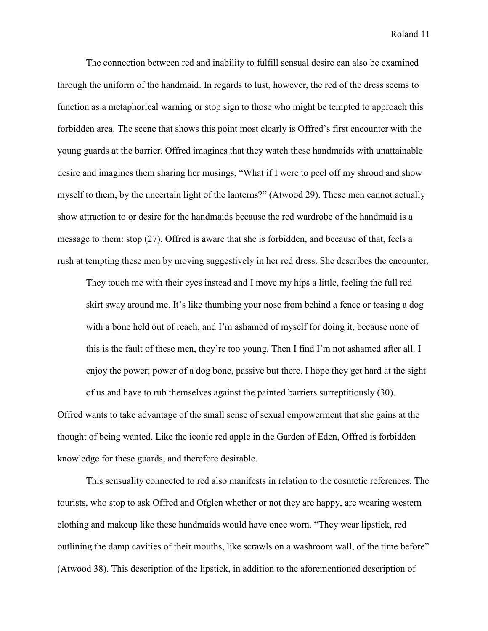The connection between red and inability to fulfill sensual desire can also be examined through the uniform of the handmaid. In regards to lust, however, the red of the dress seems to function as a metaphorical warning or stop sign to those who might be tempted to approach this forbidden area. The scene that shows this point most clearly is Offred's first encounter with the young guards at the barrier. Offred imagines that they watch these handmaids with unattainable desire and imagines them sharing her musings, "What if I were to peel off my shroud and show myself to them, by the uncertain light of the lanterns?" (Atwood 29). These men cannot actually show attraction to or desire for the handmaids because the red wardrobe of the handmaid is a message to them: stop (27). Offred is aware that she is forbidden, and because of that, feels a rush at tempting these men by moving suggestively in her red dress. She describes the encounter,

They touch me with their eyes instead and I move my hips a little, feeling the full red skirt sway around me. It's like thumbing your nose from behind a fence or teasing a dog with a bone held out of reach, and I'm ashamed of myself for doing it, because none of this is the fault of these men, they're too young. Then I find I'm not ashamed after all. I enjoy the power; power of a dog bone, passive but there. I hope they get hard at the sight of us and have to rub themselves against the painted barriers surreptitiously (30).

Offred wants to take advantage of the small sense of sexual empowerment that she gains at the thought of being wanted. Like the iconic red apple in the Garden of Eden, Offred is forbidden knowledge for these guards, and therefore desirable.

 This sensuality connected to red also manifests in relation to the cosmetic references. The tourists, who stop to ask Offred and Ofglen whether or not they are happy, are wearing western clothing and makeup like these handmaids would have once worn. "They wear lipstick, red outlining the damp cavities of their mouths, like scrawls on a washroom wall, of the time before" (Atwood 38). This description of the lipstick, in addition to the aforementioned description of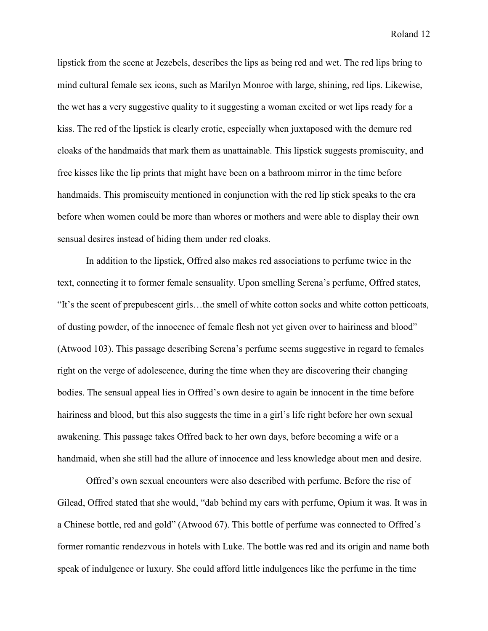lipstick from the scene at Jezebels, describes the lips as being red and wet. The red lips bring to mind cultural female sex icons, such as Marilyn Monroe with large, shining, red lips. Likewise, the wet has a very suggestive quality to it suggesting a woman excited or wet lips ready for a kiss. The red of the lipstick is clearly erotic, especially when juxtaposed with the demure red cloaks of the handmaids that mark them as unattainable. This lipstick suggests promiscuity, and free kisses like the lip prints that might have been on a bathroom mirror in the time before handmaids. This promiscuity mentioned in conjunction with the red lip stick speaks to the era before when women could be more than whores or mothers and were able to display their own sensual desires instead of hiding them under red cloaks.

 In addition to the lipstick, Offred also makes red associations to perfume twice in the text, connecting it to former female sensuality. Upon smelling Serena's perfume, Offred states, "It's the scent of prepubescent girls…the smell of white cotton socks and white cotton petticoats, of dusting powder, of the innocence of female flesh not yet given over to hairiness and blood" (Atwood 103). This passage describing Serena's perfume seems suggestive in regard to females right on the verge of adolescence, during the time when they are discovering their changing bodies. The sensual appeal lies in Offred's own desire to again be innocent in the time before hairiness and blood, but this also suggests the time in a girl's life right before her own sexual awakening. This passage takes Offred back to her own days, before becoming a wife or a handmaid, when she still had the allure of innocence and less knowledge about men and desire.

Offred's own sexual encounters were also described with perfume. Before the rise of Gilead, Offred stated that she would, "dab behind my ears with perfume, Opium it was. It was in a Chinese bottle, red and gold" (Atwood 67). This bottle of perfume was connected to Offred's former romantic rendezvous in hotels with Luke. The bottle was red and its origin and name both speak of indulgence or luxury. She could afford little indulgences like the perfume in the time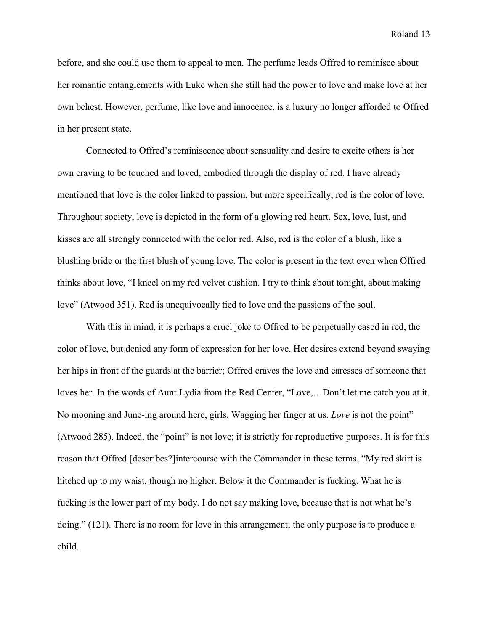before, and she could use them to appeal to men. The perfume leads Offred to reminisce about her romantic entanglements with Luke when she still had the power to love and make love at her own behest. However, perfume, like love and innocence, is a luxury no longer afforded to Offred in her present state.

 Connected to Offred's reminiscence about sensuality and desire to excite others is her own craving to be touched and loved, embodied through the display of red. I have already mentioned that love is the color linked to passion, but more specifically, red is the color of love. Throughout society, love is depicted in the form of a glowing red heart. Sex, love, lust, and kisses are all strongly connected with the color red. Also, red is the color of a blush, like a blushing bride or the first blush of young love. The color is present in the text even when Offred thinks about love, "I kneel on my red velvet cushion. I try to think about tonight, about making love" (Atwood 351). Red is unequivocally tied to love and the passions of the soul.

With this in mind, it is perhaps a cruel joke to Offred to be perpetually cased in red, the color of love, but denied any form of expression for her love. Her desires extend beyond swaying her hips in front of the guards at the barrier; Offred craves the love and caresses of someone that loves her. In the words of Aunt Lydia from the Red Center, "Love,…Don't let me catch you at it. No mooning and June-ing around here, girls. Wagging her finger at us. *Love* is not the point" (Atwood 285). Indeed, the "point" is not love; it is strictly for reproductive purposes. It is for this reason that Offred [describes?]intercourse with the Commander in these terms, "My red skirt is hitched up to my waist, though no higher. Below it the Commander is fucking. What he is fucking is the lower part of my body. I do not say making love, because that is not what he's doing." (121). There is no room for love in this arrangement; the only purpose is to produce a child.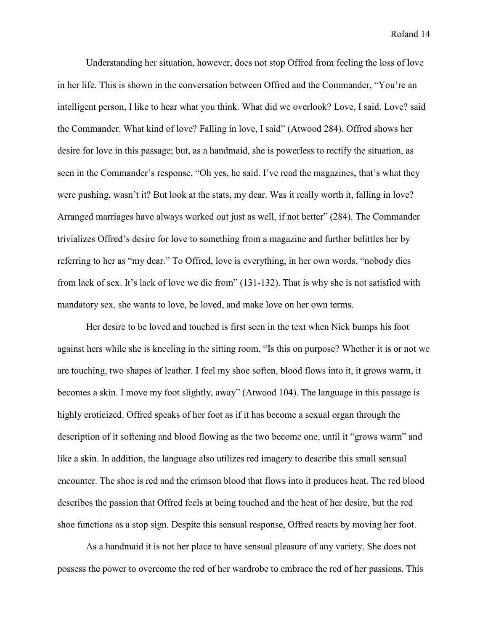Understanding her situation, however, does not stop Offred from feeling the loss of love in her life. This is shown in the conversation between Offred and the Commander, "You're an intelligent person, I like to hear what you think. What did we overlook? Love, I said. Love? said the Commander. What kind of love? Falling in love, I said" (Atwood 284). Offred shows her desire for love in this passage; but, as a handmaid, she is powerless to rectify the situation, as seen in the Commander's response, "Oh yes, he said. I've read the magazines, that's what they were pushing, wasn't it? But look at the stats, my dear. Was it really worth it, falling in love? Arranged marriages have always worked out just as well, if not better" (284). The Commander trivializes Offred's desire for love to something from a magazine and further belittles her by referring to her as "my dear." To Offred, love is everything, in her own words, "nobody dies from lack of sex. It's lack of love we die from" (131-132). That is why she is not satisfied with mandatory sex, she wants to love, be loved, and make love on her own terms.

Her desire to be loved and touched is first seen in the text when Nick bumps his foot against hers while she is kneeling in the sitting room, "Is this on purpose? Whether it is or not we are touching, two shapes of leather. I feel my shoe soften, blood flows into it, it grows warm, it becomes a skin. I move my foot slightly, away" (Atwood 104). The language in this passage is highly eroticized. Offred speaks of her foot as if it has become a sexual organ through the description of it softening and blood flowing as the two become one, until it "grows warm" and like a skin. In addition, the language also utilizes red imagery to describe this small sensual encounter. The shoe is red and the crimson blood that flows into it produces heat. The red blood describes the passion that Offred feels at being touched and the heat of her desire, but the red shoe functions as a stop sign. Despite this sensual response, Offred reacts by moving her foot.

As a handmaid it is not her place to have sensual pleasure of any variety. She does not possess the power to overcome the red of her wardrobe to embrace the red of her passions. This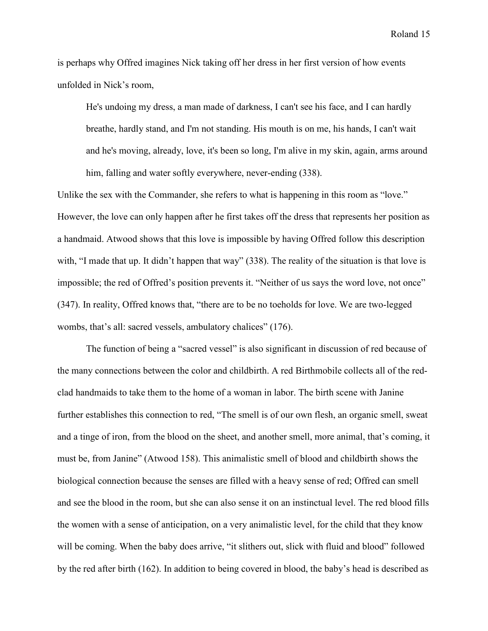is perhaps why Offred imagines Nick taking off her dress in her first version of how events unfolded in Nick's room,

He's undoing my dress, a man made of darkness, I can't see his face, and I can hardly breathe, hardly stand, and I'm not standing. His mouth is on me, his hands, I can't wait and he's moving, already, love, it's been so long, I'm alive in my skin, again, arms around him, falling and water softly everywhere, never-ending (338).

Unlike the sex with the Commander, she refers to what is happening in this room as "love." However, the love can only happen after he first takes off the dress that represents her position as a handmaid. Atwood shows that this love is impossible by having Offred follow this description with, "I made that up. It didn't happen that way" (338). The reality of the situation is that love is impossible; the red of Offred's position prevents it. "Neither of us says the word love, not once" (347). In reality, Offred knows that, "there are to be no toeholds for love. We are two-legged wombs, that's all: sacred vessels, ambulatory chalices" (176).

The function of being a "sacred vessel" is also significant in discussion of red because of the many connections between the color and childbirth. A red Birthmobile collects all of the redclad handmaids to take them to the home of a woman in labor. The birth scene with Janine further establishes this connection to red, "The smell is of our own flesh, an organic smell, sweat and a tinge of iron, from the blood on the sheet, and another smell, more animal, that's coming, it must be, from Janine" (Atwood 158). This animalistic smell of blood and childbirth shows the biological connection because the senses are filled with a heavy sense of red; Offred can smell and see the blood in the room, but she can also sense it on an instinctual level. The red blood fills the women with a sense of anticipation, on a very animalistic level, for the child that they know will be coming. When the baby does arrive, "it slithers out, slick with fluid and blood" followed by the red after birth (162). In addition to being covered in blood, the baby's head is described as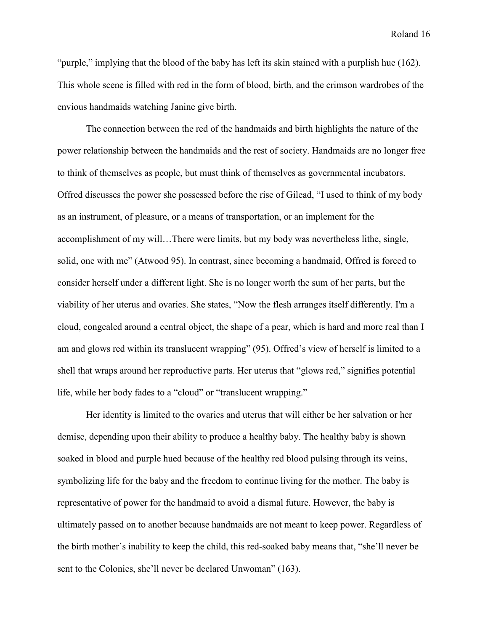"purple," implying that the blood of the baby has left its skin stained with a purplish hue (162). This whole scene is filled with red in the form of blood, birth, and the crimson wardrobes of the envious handmaids watching Janine give birth.

The connection between the red of the handmaids and birth highlights the nature of the power relationship between the handmaids and the rest of society. Handmaids are no longer free to think of themselves as people, but must think of themselves as governmental incubators. Offred discusses the power she possessed before the rise of Gilead, "I used to think of my body as an instrument, of pleasure, or a means of transportation, or an implement for the accomplishment of my will…There were limits, but my body was nevertheless lithe, single, solid, one with me" (Atwood 95). In contrast, since becoming a handmaid, Offred is forced to consider herself under a different light. She is no longer worth the sum of her parts, but the viability of her uterus and ovaries. She states, "Now the flesh arranges itself differently. I'm a cloud, congealed around a central object, the shape of a pear, which is hard and more real than I am and glows red within its translucent wrapping" (95). Offred's view of herself is limited to a shell that wraps around her reproductive parts. Her uterus that "glows red," signifies potential life, while her body fades to a "cloud" or "translucent wrapping."

Her identity is limited to the ovaries and uterus that will either be her salvation or her demise, depending upon their ability to produce a healthy baby. The healthy baby is shown soaked in blood and purple hued because of the healthy red blood pulsing through its veins, symbolizing life for the baby and the freedom to continue living for the mother. The baby is representative of power for the handmaid to avoid a dismal future. However, the baby is ultimately passed on to another because handmaids are not meant to keep power. Regardless of the birth mother's inability to keep the child, this red-soaked baby means that, "she'll never be sent to the Colonies, she'll never be declared Unwoman" (163).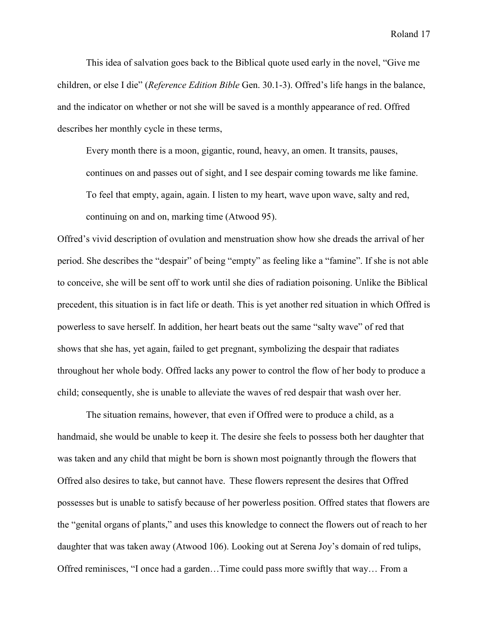This idea of salvation goes back to the Biblical quote used early in the novel, "Give me children, or else I die" (*Reference Edition Bible* Gen. 30.1-3). Offred's life hangs in the balance, and the indicator on whether or not she will be saved is a monthly appearance of red. Offred describes her monthly cycle in these terms,

Every month there is a moon, gigantic, round, heavy, an omen. It transits, pauses, continues on and passes out of sight, and I see despair coming towards me like famine. To feel that empty, again, again. I listen to my heart, wave upon wave, salty and red, continuing on and on, marking time (Atwood 95).

Offred's vivid description of ovulation and menstruation show how she dreads the arrival of her period. She describes the "despair" of being "empty" as feeling like a "famine". If she is not able to conceive, she will be sent off to work until she dies of radiation poisoning. Unlike the Biblical precedent, this situation is in fact life or death. This is yet another red situation in which Offred is powerless to save herself. In addition, her heart beats out the same "salty wave" of red that shows that she has, yet again, failed to get pregnant, symbolizing the despair that radiates throughout her whole body. Offred lacks any power to control the flow of her body to produce a child; consequently, she is unable to alleviate the waves of red despair that wash over her.

 The situation remains, however, that even if Offred were to produce a child, as a handmaid, she would be unable to keep it. The desire she feels to possess both her daughter that was taken and any child that might be born is shown most poignantly through the flowers that Offred also desires to take, but cannot have. These flowers represent the desires that Offred possesses but is unable to satisfy because of her powerless position. Offred states that flowers are the "genital organs of plants," and uses this knowledge to connect the flowers out of reach to her daughter that was taken away (Atwood 106). Looking out at Serena Joy's domain of red tulips, Offred reminisces, "I once had a garden…Time could pass more swiftly that way… From a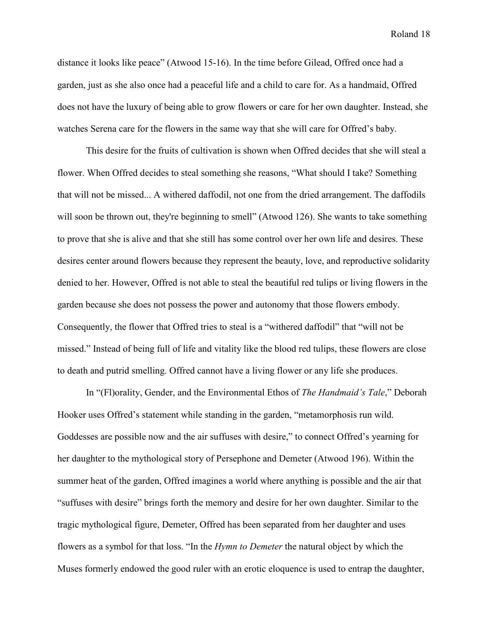distance it looks like peace" (Atwood 15-16). In the time before Gilead, Offred once had a garden, just as she also once had a peaceful life and a child to care for. As a handmaid, Offred does not have the luxury of being able to grow flowers or care for her own daughter. Instead, she watches Serena care for the flowers in the same way that she will care for Offred's baby.

This desire for the fruits of cultivation is shown when Offred decides that she will steal a flower. When Offred decides to steal something she reasons, "What should I take? Something that will not be missed... A withered daffodil, not one from the dried arrangement. The daffodils will soon be thrown out, they're beginning to smell" (Atwood 126). She wants to take something to prove that she is alive and that she still has some control over her own life and desires. These desires center around flowers because they represent the beauty, love, and reproductive solidarity denied to her. However, Offred is not able to steal the beautiful red tulips or living flowers in the garden because she does not possess the power and autonomy that those flowers embody. Consequently, the flower that Offred tries to steal is a "withered daffodil" that "will not be missed." Instead of being full of life and vitality like the blood red tulips, these flowers are close to death and putrid smelling. Offred cannot have a living flower or any life she produces.

In "(Fl)orality, Gender, and the Environmental Ethos of *The Handmaid's Tale*," Deborah Hooker uses Offred's statement while standing in the garden, "metamorphosis run wild. Goddesses are possible now and the air suffuses with desire," to connect Offred's yearning for her daughter to the mythological story of Persephone and Demeter (Atwood 196). Within the summer heat of the garden, Offred imagines a world where anything is possible and the air that "suffuses with desire" brings forth the memory and desire for her own daughter. Similar to the tragic mythological figure, Demeter, Offred has been separated from her daughter and uses flowers as a symbol for that loss. "In the *Hymn to Demeter* the natural object by which the Muses formerly endowed the good ruler with an erotic eloquence is used to entrap the daughter,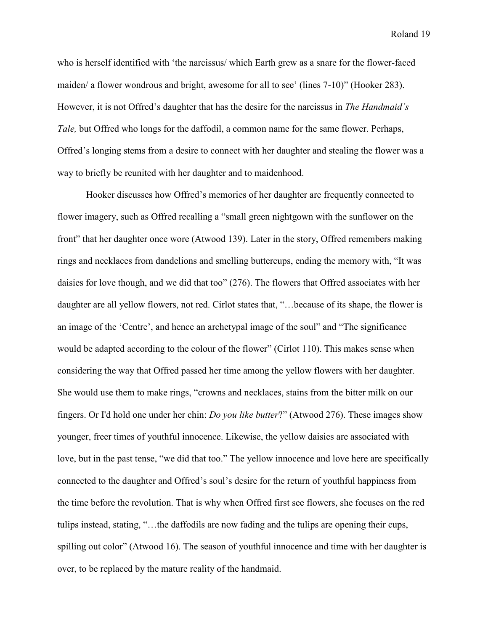who is herself identified with 'the narcissus/ which Earth grew as a snare for the flower-faced maiden/ a flower wondrous and bright, awesome for all to see' (lines 7-10)" (Hooker 283). However, it is not Offred's daughter that has the desire for the narcissus in *The Handmaid's Tale,* but Offred who longs for the daffodil, a common name for the same flower. Perhaps, Offred's longing stems from a desire to connect with her daughter and stealing the flower was a way to briefly be reunited with her daughter and to maidenhood.

Hooker discusses how Offred's memories of her daughter are frequently connected to flower imagery, such as Offred recalling a "small green nightgown with the sunflower on the front" that her daughter once wore (Atwood 139). Later in the story, Offred remembers making rings and necklaces from dandelions and smelling buttercups, ending the memory with, "It was daisies for love though, and we did that too" (276). The flowers that Offred associates with her daughter are all yellow flowers, not red. Cirlot states that, "…because of its shape, the flower is an image of the 'Centre', and hence an archetypal image of the soul" and "The significance would be adapted according to the colour of the flower" (Cirlot 110). This makes sense when considering the way that Offred passed her time among the yellow flowers with her daughter. She would use them to make rings, "crowns and necklaces, stains from the bitter milk on our fingers. Or I'd hold one under her chin: *Do you like butter*?" (Atwood 276). These images show younger, freer times of youthful innocence. Likewise, the yellow daisies are associated with love, but in the past tense, "we did that too." The yellow innocence and love here are specifically connected to the daughter and Offred's soul's desire for the return of youthful happiness from the time before the revolution. That is why when Offred first see flowers, she focuses on the red tulips instead, stating, "…the daffodils are now fading and the tulips are opening their cups, spilling out color" (Atwood 16). The season of youthful innocence and time with her daughter is over, to be replaced by the mature reality of the handmaid.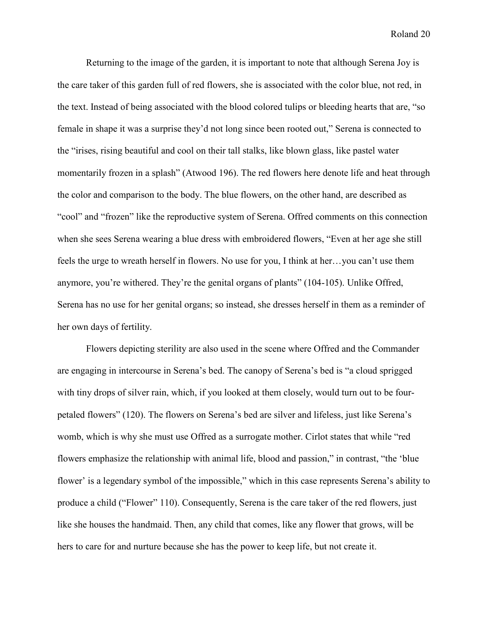Returning to the image of the garden, it is important to note that although Serena Joy is the care taker of this garden full of red flowers, she is associated with the color blue, not red, in the text. Instead of being associated with the blood colored tulips or bleeding hearts that are, "so female in shape it was a surprise they'd not long since been rooted out," Serena is connected to the "irises, rising beautiful and cool on their tall stalks, like blown glass, like pastel water momentarily frozen in a splash" (Atwood 196). The red flowers here denote life and heat through the color and comparison to the body. The blue flowers, on the other hand, are described as "cool" and "frozen" like the reproductive system of Serena. Offred comments on this connection when she sees Serena wearing a blue dress with embroidered flowers, "Even at her age she still feels the urge to wreath herself in flowers. No use for you, I think at her…you can't use them anymore, you're withered. They're the genital organs of plants" (104-105). Unlike Offred, Serena has no use for her genital organs; so instead, she dresses herself in them as a reminder of her own days of fertility.

Flowers depicting sterility are also used in the scene where Offred and the Commander are engaging in intercourse in Serena's bed. The canopy of Serena's bed is "a cloud sprigged with tiny drops of silver rain, which, if you looked at them closely, would turn out to be fourpetaled flowers" (120). The flowers on Serena's bed are silver and lifeless, just like Serena's womb, which is why she must use Offred as a surrogate mother. Cirlot states that while "red flowers emphasize the relationship with animal life, blood and passion," in contrast, "the 'blue flower' is a legendary symbol of the impossible," which in this case represents Serena's ability to produce a child ("Flower" 110). Consequently, Serena is the care taker of the red flowers, just like she houses the handmaid. Then, any child that comes, like any flower that grows, will be hers to care for and nurture because she has the power to keep life, but not create it.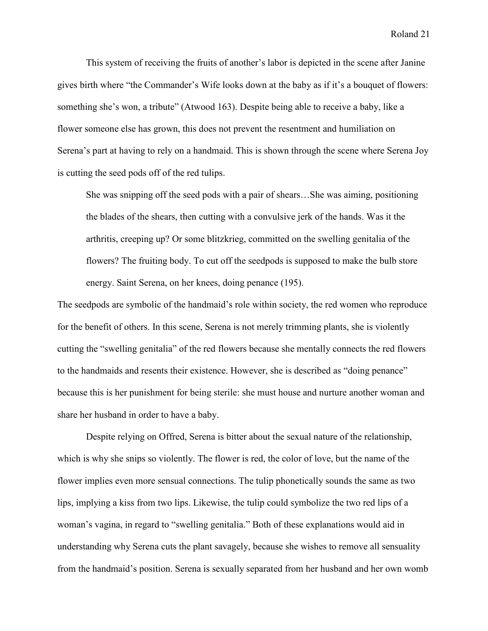This system of receiving the fruits of another's labor is depicted in the scene after Janine gives birth where "the Commander's Wife looks down at the baby as if it's a bouquet of flowers: something she's won, a tribute" (Atwood 163). Despite being able to receive a baby, like a flower someone else has grown, this does not prevent the resentment and humiliation on Serena's part at having to rely on a handmaid. This is shown through the scene where Serena Joy is cutting the seed pods off of the red tulips.

She was snipping off the seed pods with a pair of shears…She was aiming, positioning the blades of the shears, then cutting with a convulsive jerk of the hands. Was it the arthritis, creeping up? Or some blitzkrieg, committed on the swelling genitalia of the flowers? The fruiting body. To cut off the seedpods is supposed to make the bulb store energy. Saint Serena, on her knees, doing penance (195).

The seedpods are symbolic of the handmaid's role within society, the red women who reproduce for the benefit of others. In this scene, Serena is not merely trimming plants, she is violently cutting the "swelling genitalia" of the red flowers because she mentally connects the red flowers to the handmaids and resents their existence. However, she is described as "doing penance" because this is her punishment for being sterile: she must house and nurture another woman and share her husband in order to have a baby.

Despite relying on Offred, Serena is bitter about the sexual nature of the relationship, which is why she snips so violently. The flower is red, the color of love, but the name of the flower implies even more sensual connections. The tulip phonetically sounds the same as two lips, implying a kiss from two lips. Likewise, the tulip could symbolize the two red lips of a woman's vagina, in regard to "swelling genitalia." Both of these explanations would aid in understanding why Serena cuts the plant savagely, because she wishes to remove all sensuality from the handmaid's position. Serena is sexually separated from her husband and her own womb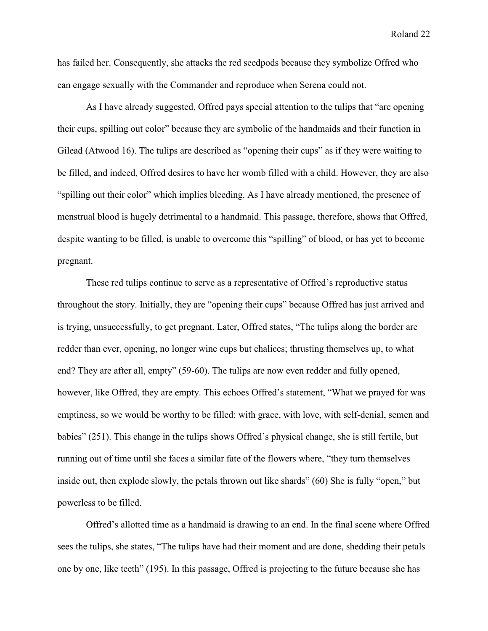has failed her. Consequently, she attacks the red seedpods because they symbolize Offred who can engage sexually with the Commander and reproduce when Serena could not.

As I have already suggested, Offred pays special attention to the tulips that "are opening their cups, spilling out color" because they are symbolic of the handmaids and their function in Gilead (Atwood 16). The tulips are described as "opening their cups" as if they were waiting to be filled, and indeed, Offred desires to have her womb filled with a child. However, they are also "spilling out their color" which implies bleeding. As I have already mentioned, the presence of menstrual blood is hugely detrimental to a handmaid. This passage, therefore, shows that Offred, despite wanting to be filled, is unable to overcome this "spilling" of blood, or has yet to become pregnant.

These red tulips continue to serve as a representative of Offred's reproductive status throughout the story. Initially, they are "opening their cups" because Offred has just arrived and is trying, unsuccessfully, to get pregnant. Later, Offred states, "The tulips along the border are redder than ever, opening, no longer wine cups but chalices; thrusting themselves up, to what end? They are after all, empty" (59-60). The tulips are now even redder and fully opened, however, like Offred, they are empty. This echoes Offred's statement, "What we prayed for was emptiness, so we would be worthy to be filled: with grace, with love, with self-denial, semen and babies" (251). This change in the tulips shows Offred's physical change, she is still fertile, but running out of time until she faces a similar fate of the flowers where, "they turn themselves inside out, then explode slowly, the petals thrown out like shards" (60) She is fully "open," but powerless to be filled.

Offred's allotted time as a handmaid is drawing to an end. In the final scene where Offred sees the tulips, she states, "The tulips have had their moment and are done, shedding their petals one by one, like teeth" (195). In this passage, Offred is projecting to the future because she has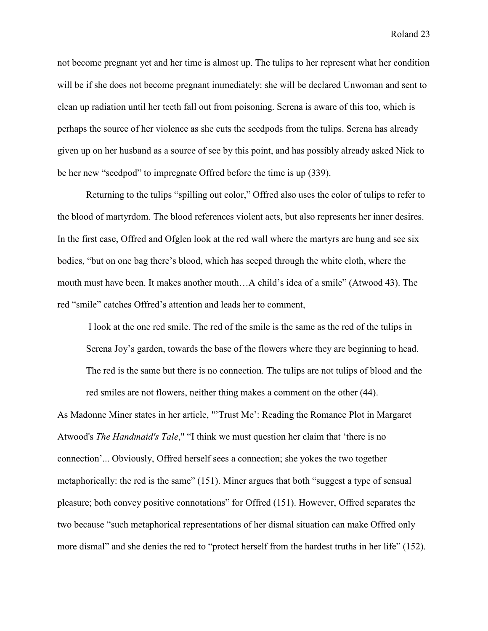not become pregnant yet and her time is almost up. The tulips to her represent what her condition will be if she does not become pregnant immediately: she will be declared Unwoman and sent to clean up radiation until her teeth fall out from poisoning. Serena is aware of this too, which is perhaps the source of her violence as she cuts the seedpods from the tulips. Serena has already given up on her husband as a source of see by this point, and has possibly already asked Nick to be her new "seedpod" to impregnate Offred before the time is up (339).

 Returning to the tulips "spilling out color," Offred also uses the color of tulips to refer to the blood of martyrdom. The blood references violent acts, but also represents her inner desires. In the first case, Offred and Ofglen look at the red wall where the martyrs are hung and see six bodies, "but on one bag there's blood, which has seeped through the white cloth, where the mouth must have been. It makes another mouth…A child's idea of a smile" (Atwood 43). The red "smile" catches Offred's attention and leads her to comment,

 I look at the one red smile. The red of the smile is the same as the red of the tulips in Serena Joy's garden, towards the base of the flowers where they are beginning to head. The red is the same but there is no connection. The tulips are not tulips of blood and the red smiles are not flowers, neither thing makes a comment on the other (44).

As Madonne Miner states in her article, "'Trust Me': Reading the Romance Plot in Margaret Atwood's *The Handmaid's Tale*," "I think we must question her claim that 'there is no connection'... Obviously, Offred herself sees a connection; she yokes the two together metaphorically: the red is the same" (151). Miner argues that both "suggest a type of sensual pleasure; both convey positive connotations" for Offred (151). However, Offred separates the two because "such metaphorical representations of her dismal situation can make Offred only more dismal" and she denies the red to "protect herself from the hardest truths in her life" (152).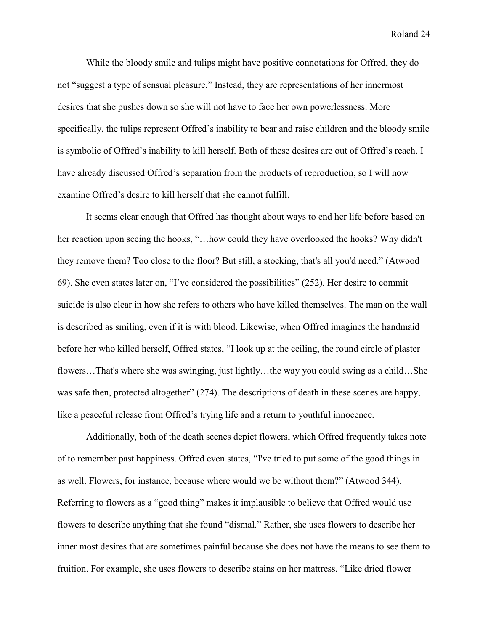While the bloody smile and tulips might have positive connotations for Offred, they do not "suggest a type of sensual pleasure." Instead, they are representations of her innermost desires that she pushes down so she will not have to face her own powerlessness. More specifically, the tulips represent Offred's inability to bear and raise children and the bloody smile is symbolic of Offred's inability to kill herself. Both of these desires are out of Offred's reach. I have already discussed Offred's separation from the products of reproduction, so I will now examine Offred's desire to kill herself that she cannot fulfill.

It seems clear enough that Offred has thought about ways to end her life before based on her reaction upon seeing the hooks, "…how could they have overlooked the hooks? Why didn't they remove them? Too close to the floor? But still, a stocking, that's all you'd need." (Atwood 69). She even states later on, "I've considered the possibilities" (252). Her desire to commit suicide is also clear in how she refers to others who have killed themselves. The man on the wall is described as smiling, even if it is with blood. Likewise, when Offred imagines the handmaid before her who killed herself, Offred states, "I look up at the ceiling, the round circle of plaster flowers…That's where she was swinging, just lightly…the way you could swing as a child…She was safe then, protected altogether" (274). The descriptions of death in these scenes are happy, like a peaceful release from Offred's trying life and a return to youthful innocence.

Additionally, both of the death scenes depict flowers, which Offred frequently takes note of to remember past happiness. Offred even states, "I've tried to put some of the good things in as well. Flowers, for instance, because where would we be without them?" (Atwood 344). Referring to flowers as a "good thing" makes it implausible to believe that Offred would use flowers to describe anything that she found "dismal." Rather, she uses flowers to describe her inner most desires that are sometimes painful because she does not have the means to see them to fruition. For example, she uses flowers to describe stains on her mattress, "Like dried flower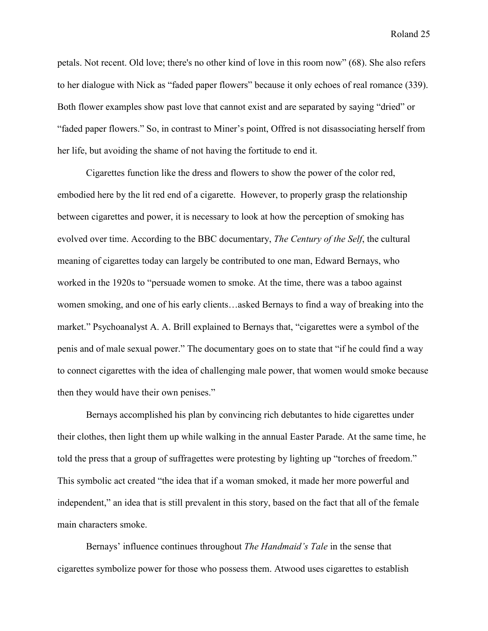petals. Not recent. Old love; there's no other kind of love in this room now" (68). She also refers to her dialogue with Nick as "faded paper flowers" because it only echoes of real romance (339). Both flower examples show past love that cannot exist and are separated by saying "dried" or "faded paper flowers." So, in contrast to Miner's point, Offred is not disassociating herself from her life, but avoiding the shame of not having the fortitude to end it.

Cigarettes function like the dress and flowers to show the power of the color red, embodied here by the lit red end of a cigarette. However, to properly grasp the relationship between cigarettes and power, it is necessary to look at how the perception of smoking has evolved over time. According to the BBC documentary, *The Century of the Self*, the cultural meaning of cigarettes today can largely be contributed to one man, Edward Bernays, who worked in the 1920s to "persuade women to smoke. At the time, there was a taboo against women smoking, and one of his early clients…asked Bernays to find a way of breaking into the market." Psychoanalyst A. A. Brill explained to Bernays that, "cigarettes were a symbol of the penis and of male sexual power." The documentary goes on to state that "if he could find a way to connect cigarettes with the idea of challenging male power, that women would smoke because then they would have their own penises."

Bernays accomplished his plan by convincing rich debutantes to hide cigarettes under their clothes, then light them up while walking in the annual Easter Parade. At the same time, he told the press that a group of suffragettes were protesting by lighting up "torches of freedom." This symbolic act created "the idea that if a woman smoked, it made her more powerful and independent," an idea that is still prevalent in this story, based on the fact that all of the female main characters smoke.

Bernays' influence continues throughout *The Handmaid's Tale* in the sense that cigarettes symbolize power for those who possess them. Atwood uses cigarettes to establish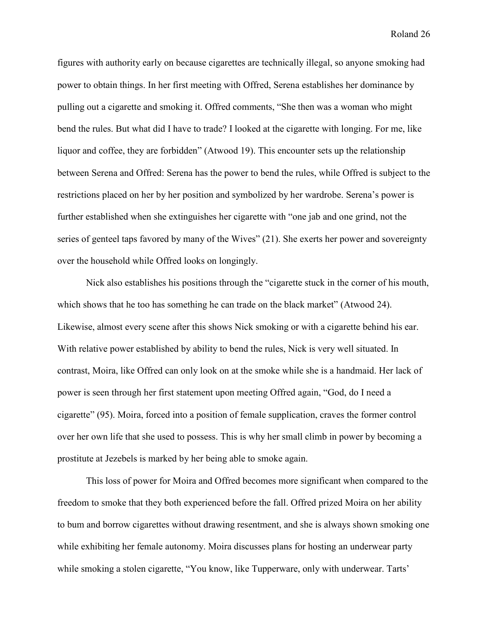figures with authority early on because cigarettes are technically illegal, so anyone smoking had power to obtain things. In her first meeting with Offred, Serena establishes her dominance by pulling out a cigarette and smoking it. Offred comments, "She then was a woman who might bend the rules. But what did I have to trade? I looked at the cigarette with longing. For me, like liquor and coffee, they are forbidden" (Atwood 19). This encounter sets up the relationship between Serena and Offred: Serena has the power to bend the rules, while Offred is subject to the restrictions placed on her by her position and symbolized by her wardrobe. Serena's power is further established when she extinguishes her cigarette with "one jab and one grind, not the series of genteel taps favored by many of the Wives" (21). She exerts her power and sovereignty over the household while Offred looks on longingly.

Nick also establishes his positions through the "cigarette stuck in the corner of his mouth, which shows that he too has something he can trade on the black market" (Atwood 24). Likewise, almost every scene after this shows Nick smoking or with a cigarette behind his ear. With relative power established by ability to bend the rules, Nick is very well situated. In contrast, Moira, like Offred can only look on at the smoke while she is a handmaid. Her lack of power is seen through her first statement upon meeting Offred again, "God, do I need a cigarette" (95). Moira, forced into a position of female supplication, craves the former control over her own life that she used to possess. This is why her small climb in power by becoming a prostitute at Jezebels is marked by her being able to smoke again.

This loss of power for Moira and Offred becomes more significant when compared to the freedom to smoke that they both experienced before the fall. Offred prized Moira on her ability to bum and borrow cigarettes without drawing resentment, and she is always shown smoking one while exhibiting her female autonomy. Moira discusses plans for hosting an underwear party while smoking a stolen cigarette, "You know, like Tupperware, only with underwear. Tarts'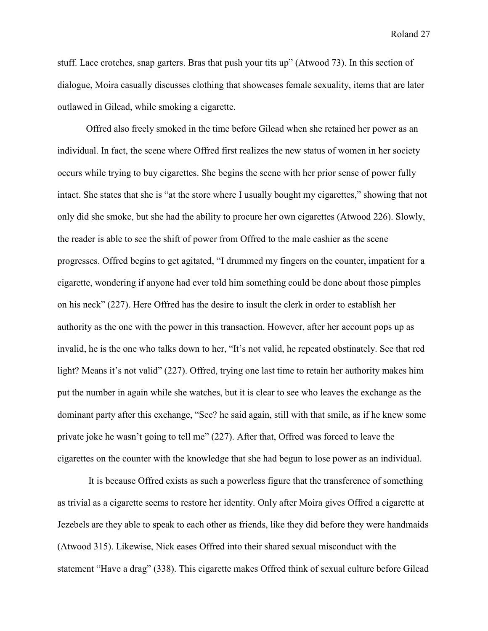stuff. Lace crotches, snap garters. Bras that push your tits up" (Atwood 73). In this section of dialogue, Moira casually discusses clothing that showcases female sexuality, items that are later outlawed in Gilead, while smoking a cigarette.

Offred also freely smoked in the time before Gilead when she retained her power as an individual. In fact, the scene where Offred first realizes the new status of women in her society occurs while trying to buy cigarettes. She begins the scene with her prior sense of power fully intact. She states that she is "at the store where I usually bought my cigarettes," showing that not only did she smoke, but she had the ability to procure her own cigarettes (Atwood 226). Slowly, the reader is able to see the shift of power from Offred to the male cashier as the scene progresses. Offred begins to get agitated, "I drummed my fingers on the counter, impatient for a cigarette, wondering if anyone had ever told him something could be done about those pimples on his neck" (227). Here Offred has the desire to insult the clerk in order to establish her authority as the one with the power in this transaction. However, after her account pops up as invalid, he is the one who talks down to her, "It's not valid, he repeated obstinately. See that red light? Means it's not valid" (227). Offred, trying one last time to retain her authority makes him put the number in again while she watches, but it is clear to see who leaves the exchange as the dominant party after this exchange, "See? he said again, still with that smile, as if he knew some private joke he wasn't going to tell me" (227). After that, Offred was forced to leave the cigarettes on the counter with the knowledge that she had begun to lose power as an individual.

 It is because Offred exists as such a powerless figure that the transference of something as trivial as a cigarette seems to restore her identity. Only after Moira gives Offred a cigarette at Jezebels are they able to speak to each other as friends, like they did before they were handmaids (Atwood 315). Likewise, Nick eases Offred into their shared sexual misconduct with the statement "Have a drag" (338). This cigarette makes Offred think of sexual culture before Gilead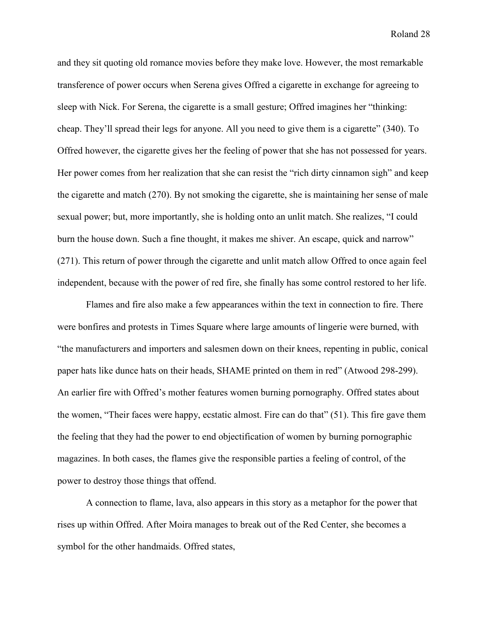and they sit quoting old romance movies before they make love. However, the most remarkable transference of power occurs when Serena gives Offred a cigarette in exchange for agreeing to sleep with Nick. For Serena, the cigarette is a small gesture; Offred imagines her "thinking: cheap. They'll spread their legs for anyone. All you need to give them is a cigarette" (340). To Offred however, the cigarette gives her the feeling of power that she has not possessed for years. Her power comes from her realization that she can resist the "rich dirty cinnamon sigh" and keep the cigarette and match (270). By not smoking the cigarette, she is maintaining her sense of male sexual power; but, more importantly, she is holding onto an unlit match. She realizes, "I could burn the house down. Such a fine thought, it makes me shiver. An escape, quick and narrow" (271). This return of power through the cigarette and unlit match allow Offred to once again feel independent, because with the power of red fire, she finally has some control restored to her life.

Flames and fire also make a few appearances within the text in connection to fire. There were bonfires and protests in Times Square where large amounts of lingerie were burned, with "the manufacturers and importers and salesmen down on their knees, repenting in public, conical paper hats like dunce hats on their heads, SHAME printed on them in red" (Atwood 298-299). An earlier fire with Offred's mother features women burning pornography. Offred states about the women, "Their faces were happy, ecstatic almost. Fire can do that" (51). This fire gave them the feeling that they had the power to end objectification of women by burning pornographic magazines. In both cases, the flames give the responsible parties a feeling of control, of the power to destroy those things that offend.

A connection to flame, lava, also appears in this story as a metaphor for the power that rises up within Offred. After Moira manages to break out of the Red Center, she becomes a symbol for the other handmaids. Offred states,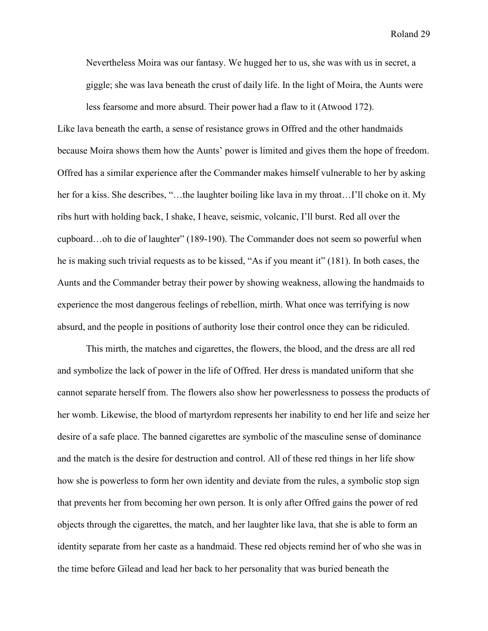Nevertheless Moira was our fantasy. We hugged her to us, she was with us in secret, a giggle; she was lava beneath the crust of daily life. In the light of Moira, the Aunts were less fearsome and more absurd. Their power had a flaw to it (Atwood 172).

Like lava beneath the earth, a sense of resistance grows in Offred and the other handmaids because Moira shows them how the Aunts' power is limited and gives them the hope of freedom. Offred has a similar experience after the Commander makes himself vulnerable to her by asking her for a kiss. She describes, "...the laughter boiling like lava in my throat...I'll choke on it. My ribs hurt with holding back, I shake, I heave, seismic, volcanic, I'll burst. Red all over the cupboard…oh to die of laughter" (189-190). The Commander does not seem so powerful when he is making such trivial requests as to be kissed, "As if you meant it" (181). In both cases, the Aunts and the Commander betray their power by showing weakness, allowing the handmaids to experience the most dangerous feelings of rebellion, mirth. What once was terrifying is now absurd, and the people in positions of authority lose their control once they can be ridiculed.

 This mirth, the matches and cigarettes, the flowers, the blood, and the dress are all red and symbolize the lack of power in the life of Offred. Her dress is mandated uniform that she cannot separate herself from. The flowers also show her powerlessness to possess the products of her womb. Likewise, the blood of martyrdom represents her inability to end her life and seize her desire of a safe place. The banned cigarettes are symbolic of the masculine sense of dominance and the match is the desire for destruction and control. All of these red things in her life show how she is powerless to form her own identity and deviate from the rules, a symbolic stop sign that prevents her from becoming her own person. It is only after Offred gains the power of red objects through the cigarettes, the match, and her laughter like lava, that she is able to form an identity separate from her caste as a handmaid. These red objects remind her of who she was in the time before Gilead and lead her back to her personality that was buried beneath the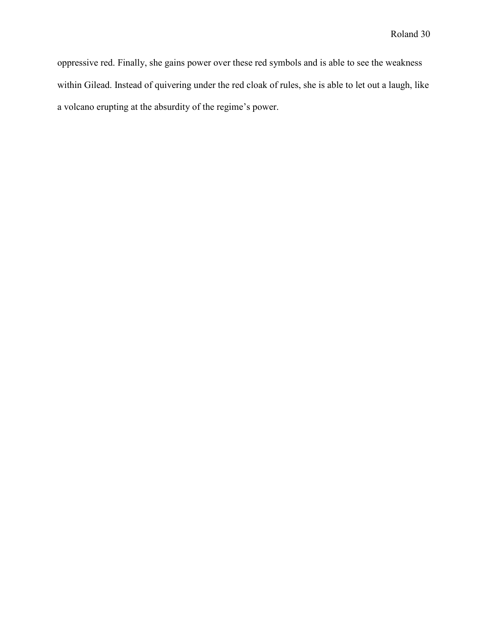oppressive red. Finally, she gains power over these red symbols and is able to see the weakness within Gilead. Instead of quivering under the red cloak of rules, she is able to let out a laugh, like a volcano erupting at the absurdity of the regime's power.